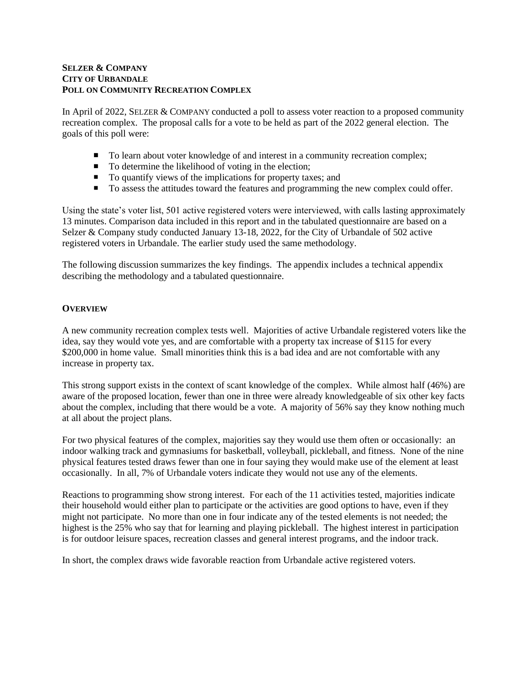## **SELZER & COMPANY CITY OF URBANDALE POLL ON COMMUNITY RECREATION COMPLEX**

In April of 2022, SELZER & COMPANY conducted a poll to assess voter reaction to a proposed community recreation complex. The proposal calls for a vote to be held as part of the 2022 general election. The goals of this poll were:

- To learn about voter knowledge of and interest in a community recreation complex;
- To determine the likelihood of voting in the election;
- To quantify views of the implications for property taxes; and
- To assess the attitudes toward the features and programming the new complex could offer.

Using the state's voter list, 501 active registered voters were interviewed, with calls lasting approximately 13 minutes. Comparison data included in this report and in the tabulated questionnaire are based on a Selzer & Company study conducted January 13-18, 2022, for the City of Urbandale of 502 active registered voters in Urbandale. The earlier study used the same methodology.

The following discussion summarizes the key findings. The appendix includes a technical appendix describing the methodology and a tabulated questionnaire.

# **OVERVIEW**

A new community recreation complex tests well. Majorities of active Urbandale registered voters like the idea, say they would vote yes, and are comfortable with a property tax increase of \$115 for every \$200,000 in home value. Small minorities think this is a bad idea and are not comfortable with any increase in property tax.

This strong support exists in the context of scant knowledge of the complex. While almost half (46%) are aware of the proposed location, fewer than one in three were already knowledgeable of six other key facts about the complex, including that there would be a vote. A majority of 56% say they know nothing much at all about the project plans.

For two physical features of the complex, majorities say they would use them often or occasionally: an indoor walking track and gymnasiums for basketball, volleyball, pickleball, and fitness. None of the nine physical features tested draws fewer than one in four saying they would make use of the element at least occasionally. In all, 7% of Urbandale voters indicate they would not use any of the elements.

Reactions to programming show strong interest. For each of the 11 activities tested, majorities indicate their household would either plan to participate or the activities are good options to have, even if they might not participate. No more than one in four indicate any of the tested elements is not needed; the highest is the 25% who say that for learning and playing pickleball. The highest interest in participation is for outdoor leisure spaces, recreation classes and general interest programs, and the indoor track.

In short, the complex draws wide favorable reaction from Urbandale active registered voters.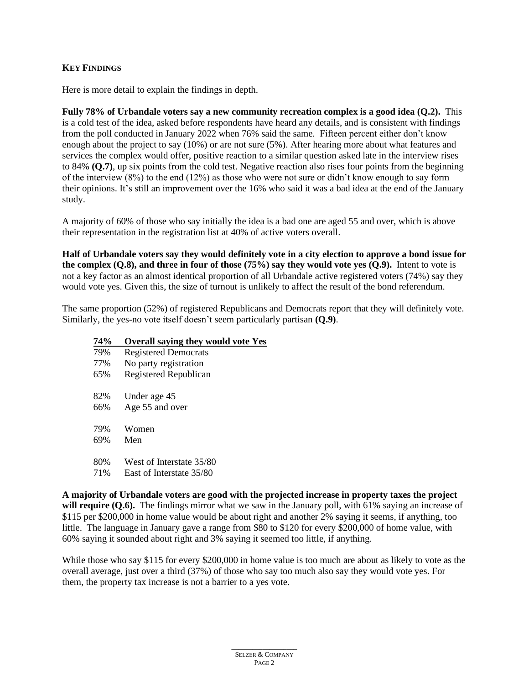# **KEY FINDINGS**

Here is more detail to explain the findings in depth.

**Fully 78% of Urbandale voters say a new community recreation complex is a good idea (Q.2).** This is a cold test of the idea, asked before respondents have heard any details, and is consistent with findings from the poll conducted in January 2022 when 76% said the same. Fifteen percent either don't know enough about the project to say (10%) or are not sure (5%). After hearing more about what features and services the complex would offer, positive reaction to a similar question asked late in the interview rises to 84% **(Q.7)**, up six points from the cold test. Negative reaction also rises four points from the beginning of the interview (8%) to the end (12%) as those who were not sure or didn't know enough to say form their opinions. It's still an improvement over the 16% who said it was a bad idea at the end of the January study.

A majority of 60% of those who say initially the idea is a bad one are aged 55 and over, which is above their representation in the registration list at 40% of active voters overall.

**Half of Urbandale voters say they would definitely vote in a city election to approve a bond issue for the complex (Q.8), and three in four of those (75%) say they would vote yes (Q.9).** Intent to vote is not a key factor as an almost identical proportion of all Urbandale active registered voters (74%) say they would vote yes. Given this, the size of turnout is unlikely to affect the result of the bond referendum.

The same proportion (52%) of registered Republicans and Democrats report that they will definitely vote. Similarly, the yes-no vote itself doesn't seem particularly partisan **(Q.9)**.

## **74% Overall saying they would vote Yes**

| 79% | <b>Registered Democrats</b> |
|-----|-----------------------------|
| 77% | No party registration       |
| 65% | Registered Republican       |
|     |                             |
| 82% | Under age 45                |
| 66% | Age 55 and over             |
|     |                             |
| 79% | Women                       |
| 69% | Men                         |
|     |                             |
| 80% | West of Interstate 35/80    |
| 71% | East of Interstate 35/80    |

**A majority of Urbandale voters are good with the projected increase in property taxes the project will require (O.6).** The findings mirror what we saw in the January poll, with 61% saying an increase of \$115 per \$200,000 in home value would be about right and another 2% saying it seems, if anything, too little. The language in January gave a range from \$80 to \$120 for every \$200,000 of home value, with 60% saying it sounded about right and 3% saying it seemed too little, if anything.

While those who say \$115 for every \$200,000 in home value is too much are about as likely to vote as the overall average, just over a third (37%) of those who say too much also say they would vote yes. For them, the property tax increase is not a barrier to a yes vote.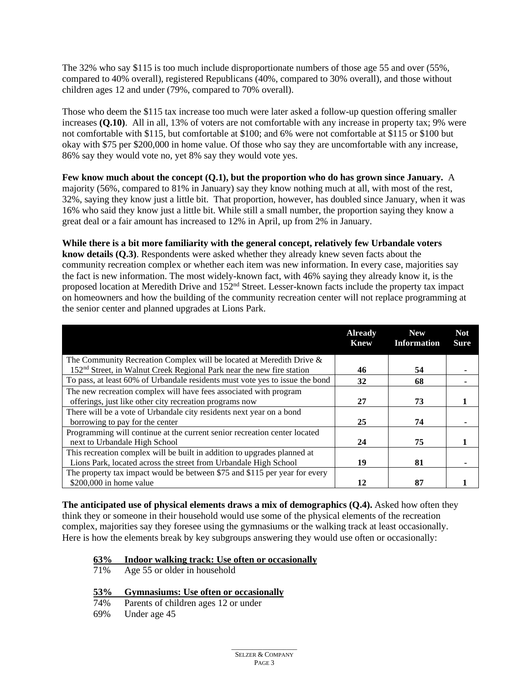The 32% who say \$115 is too much include disproportionate numbers of those age 55 and over (55%, compared to 40% overall), registered Republicans (40%, compared to 30% overall), and those without children ages 12 and under (79%, compared to 70% overall).

Those who deem the \$115 tax increase too much were later asked a follow-up question offering smaller increases **(Q.10)**. All in all, 13% of voters are not comfortable with any increase in property tax; 9% were not comfortable with \$115, but comfortable at \$100; and 6% were not comfortable at \$115 or \$100 but okay with \$75 per \$200,000 in home value. Of those who say they are uncomfortable with any increase, 86% say they would vote no, yet 8% say they would vote yes.

**Few know much about the concept (Q.1), but the proportion who do has grown since January.** A majority (56%, compared to 81% in January) say they know nothing much at all, with most of the rest, 32%, saying they know just a little bit. That proportion, however, has doubled since January, when it was 16% who said they know just a little bit. While still a small number, the proportion saying they know a great deal or a fair amount has increased to 12% in April, up from 2% in January.

**While there is a bit more familiarity with the general concept, relatively few Urbandale voters know details (Q.3)**. Respondents were asked whether they already knew seven facts about the community recreation complex or whether each item was new information. In every case, majorities say the fact is new information. The most widely-known fact, with 46% saying they already know it, is the proposed location at Meredith Drive and 152nd Street. Lesser-known facts include the property tax impact on homeowners and how the building of the community recreation center will not replace programming at the senior center and planned upgrades at Lions Park.

|                                                                                   | <b>Already</b><br><b>Knew</b> | <b>New</b><br><b>Information</b> | <b>Not</b><br><b>Sure</b> |
|-----------------------------------------------------------------------------------|-------------------------------|----------------------------------|---------------------------|
| The Community Recreation Complex will be located at Meredith Drive &              |                               |                                  |                           |
| 152 <sup>nd</sup> Street, in Walnut Creek Regional Park near the new fire station | 46                            | 54                               |                           |
| To pass, at least 60% of Urbandale residents must vote yes to issue the bond      | 32                            | 68                               |                           |
| The new recreation complex will have fees associated with program                 |                               |                                  |                           |
| offerings, just like other city recreation programs now                           | 27                            | 73                               |                           |
| There will be a vote of Urbandale city residents next year on a bond              |                               |                                  |                           |
| borrowing to pay for the center                                                   | 25                            | 74                               |                           |
| Programming will continue at the current senior recreation center located         |                               |                                  |                           |
| next to Urbandale High School                                                     | 24                            | 75                               |                           |
| This recreation complex will be built in addition to upgrades planned at          |                               |                                  |                           |
| Lions Park, located across the street from Urbandale High School                  | 19                            | 81                               |                           |
| The property tax impact would be between \$75 and \$115 per year for every        |                               |                                  |                           |
| $$200,000$ in home value                                                          | 12                            | 87                               |                           |

**The anticipated use of physical elements draws a mix of demographics (Q.4).** Asked how often they think they or someone in their household would use some of the physical elements of the recreation complex, majorities say they foresee using the gymnasiums or the walking track at least occasionally. Here is how the elements break by key subgroups answering they would use often or occasionally:

# **63% Indoor walking track: Use often or occasionally**

- Age 55 or older in household
- **53% Gymnasiums: Use often or occasionally**
- 74% Parents of children ages 12 or under
- 69% Under age 45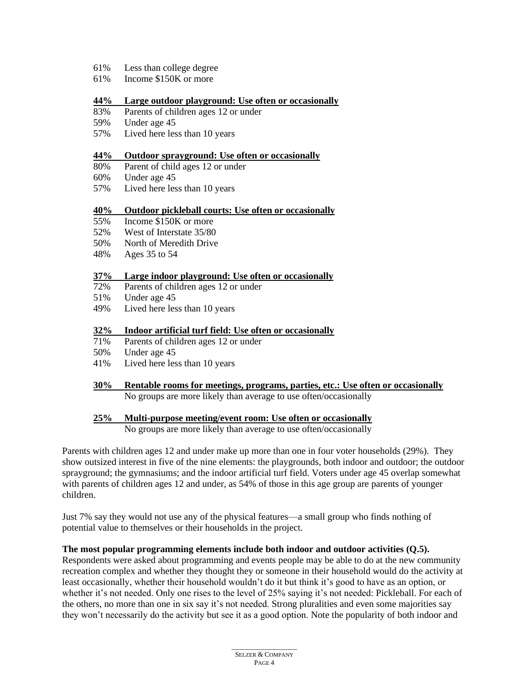- 61% Less than college degree
- 61% Income \$150K or more

## **44% Large outdoor playground: Use often or occasionally**

- 83% Parents of children ages 12 or under
- 59% Under age 45
- 57% Lived here less than 10 years

#### **44% Outdoor sprayground: Use often or occasionally**

- 80% Parent of child ages 12 or under
- 60% Under age 45
- 57% Lived here less than 10 years

#### **40% Outdoor pickleball courts: Use often or occasionally**

- 55% Income \$150K or more
- 52% West of Interstate 35/80
- 50% North of Meredith Drive
- 48% Ages 35 to 54

#### **37% Large indoor playground: Use often or occasionally**

- 72% Parents of children ages 12 or under
- 51% Under age 45
- 49% Lived here less than 10 years

#### **32% Indoor artificial turf field: Use often or occasionally**

- 71% Parents of children ages 12 or under
- 50% Under age 45
- 41% Lived here less than 10 years
- **30% Rentable rooms for meetings, programs, parties, etc.: Use often or occasionally** No groups are more likely than average to use often/occasionally

## **25% Multi-purpose meeting/event room: Use often or occasionally**

No groups are more likely than average to use often/occasionally

Parents with children ages 12 and under make up more than one in four voter households (29%). They show outsized interest in five of the nine elements: the playgrounds, both indoor and outdoor; the outdoor sprayground; the gymnasiums; and the indoor artificial turf field. Voters under age 45 overlap somewhat with parents of children ages 12 and under, as 54% of those in this age group are parents of younger children.

Just 7% say they would not use any of the physical features—a small group who finds nothing of potential value to themselves or their households in the project.

## **The most popular programming elements include both indoor and outdoor activities (Q.5).**

Respondents were asked about programming and events people may be able to do at the new community recreation complex and whether they thought they or someone in their household would do the activity at least occasionally, whether their household wouldn't do it but think it's good to have as an option, or whether it's not needed. Only one rises to the level of 25% saying it's not needed: Pickleball. For each of the others, no more than one in six say it's not needed. Strong pluralities and even some majorities say they won't necessarily do the activity but see it as a good option. Note the popularity of both indoor and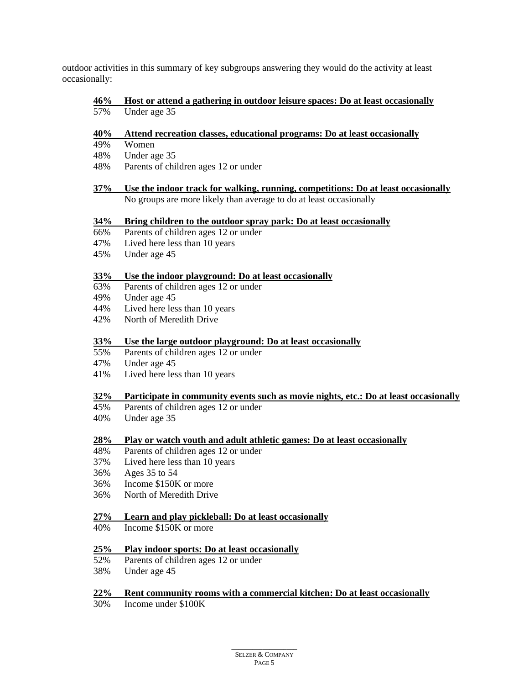outdoor activities in this summary of key subgroups answering they would do the activity at least occasionally:

#### **46% Host or attend a gathering in outdoor leisure spaces: Do at least occasionally** 57% Under age 35

## **40% Attend recreation classes, educational programs: Do at least occasionally**

- 49% Women
- 48% Under age 35
- 48% Parents of children ages 12 or under

#### **37% Use the indoor track for walking, running, competitions: Do at least occasionally** No groups are more likely than average to do at least occasionally

#### **34% Bring children to the outdoor spray park: Do at least occasionally**

- 66% Parents of children ages 12 or under
- 47% Lived here less than 10 years
- 45% Under age 45

## **33% Use the indoor playground: Do at least occasionally**

- 63% Parents of children ages 12 or under
- 49% Under age 45
- 44% Lived here less than 10 years
- 42% North of Meredith Drive

## **33% Use the large outdoor playground: Do at least occasionally**

- 55% Parents of children ages 12 or under
- 47% Under age 45
- 41% Lived here less than 10 years

## **32% Participate in community events such as movie nights, etc.: Do at least occasionally**

- 45% Parents of children ages 12 or under
- 40% Under age 35

## **28% Play or watch youth and adult athletic games: Do at least occasionally**

- 48% Parents of children ages 12 or under
- 37% Lived here less than 10 years
- 36% Ages 35 to 54
- 36% Income \$150K or more
- 36% North of Meredith Drive

#### **27% Learn and play pickleball: Do at least occasionally**

40% Income \$150K or more

#### **25% Play indoor sports: Do at least occasionally**

- 52% Parents of children ages 12 or under
- 38% Under age 45

#### **22% Rent community rooms with a commercial kitchen: Do at least occasionally**

30% Income under \$100K